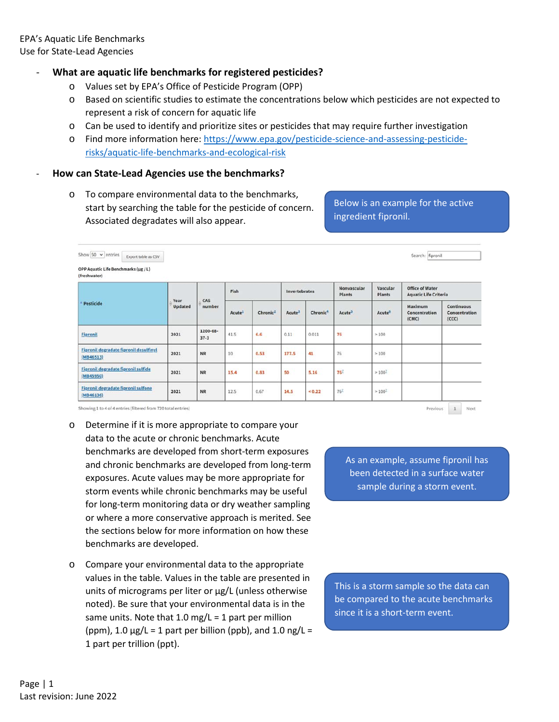## - **What are aquatic life benchmarks for registered pesticides?**

- o Values set by EPA's Office of Pesticide Program (OPP)
- o Based on scientific studies to estimate the concentrations below which pesticides are not expected to represent a risk of concern for aquatic life
- o Can be used to identify and prioritize sites or pesticides that may require further investigation
- o Find more information here: [https://www.epa.gov/pesticide-science-and-assessing-pesticide](https://www.epa.gov/pesticide-science-and-assessing-pesticide-risks/aquatic-life-benchmarks-and-ecological-risk)[risks/aquatic-life-benchmarks-and-ecological-risk](https://www.epa.gov/pesticide-science-and-assessing-pesticide-risks/aquatic-life-benchmarks-and-ecological-risk)

### - **How can State-Lead Agencies use the benchmarks?**

o To compare environmental data to the benchmarks, start by searching the table for the pesticide of concern. Associated degradates will also appear.

# Below is an example for the active ingredient fipronil.

| Show 50 $\sim$ entries<br>Export table as CSV              |                 |                      |                    |                      |                    |                      |                              |                           | Search: fipronil                                       |                                      |  |
|------------------------------------------------------------|-----------------|----------------------|--------------------|----------------------|--------------------|----------------------|------------------------------|---------------------------|--------------------------------------------------------|--------------------------------------|--|
| OPP Aquatic Life Benchmarks (µg / L)<br>(freshwater)       |                 |                      |                    |                      |                    |                      |                              |                           |                                                        |                                      |  |
|                                                            |                 |                      | Fish               |                      | Invertebrates      |                      | Nonvascular<br><b>Plants</b> | Vascular<br><b>Plants</b> | <b>Office of Water</b><br><b>Aquatic Life Criteria</b> |                                      |  |
| Pesticide                                                  | Year<br>Updated | CAS<br>number        | Acute <sup>1</sup> | Chronic <sup>2</sup> | Acute <sup>1</sup> | Chronic <sup>4</sup> | Acute <sup>5</sup>           | Acute <sup>5</sup>        | Maximum<br>Concentration<br>(CMC)                      | Continuous<br>Concentration<br>(CCC) |  |
| <b>Fipronil</b>                                            | 2021            | 1200-68-<br>$37 - 3$ | 41.5               | 6.6                  | 0.11               | 0.011                | 76                           | >100                      |                                                        |                                      |  |
| <b>Fipronil degradate fipronil desulfinyl</b><br>(MB46513) | 2021            | <b>NR</b>            | $10\,$             | 0.53                 | 177.5              | 41                   | 76                           | >100                      |                                                        |                                      |  |
| Fipronil degradate fipronil sulfide<br>(MB45950)           | 2021            | <b>NR</b>            | 15.4               | 0.83                 | 50                 | 5.16                 | 76 <sup>7</sup>              | $>100^{\text{T}}$         |                                                        |                                      |  |
| <b>Fipronil degradate fipronil sulfone</b><br>(MB46136)    | 2021            | <b>NR</b>            | 12.5               | 0.67                 | 14.5               | < 0.22               | 76 <sup>7</sup>              | $>100^{T}$                |                                                        |                                      |  |

Showing 1 to 4 of 4 entries (filtered from 720 total entries)

- o Determine if it is more appropriate to compare your data to the acute or chronic benchmarks. Acute benchmarks are developed from short-term exposures and chronic benchmarks are developed from long-term exposures. Acute values may be more appropriate for storm events while chronic benchmarks may be useful for long-term monitoring data or dry weather sampling or where a more conservative approach is merited. See the sections below for more information on how these benchmarks are developed.
- o Compare your environmental data to the appropriate values in the table. Values in the table are presented in units of micrograms per liter or  $\mu$ g/L (unless otherwise noted). Be sure that your environmental data is in the same units. Note that  $1.0$  mg/L = 1 part per million (ppm),  $1.0 \mu g/L = 1$  part per billion (ppb), and  $1.0 \text{ ng/L} =$ 1 part per trillion (ppt).

As an example, assume fipronil has been detected in a surface water sample during a storm event.

Previous 1 Next

This is a storm sample so the data can be compared to the acute benchmarks since it is a short-term event.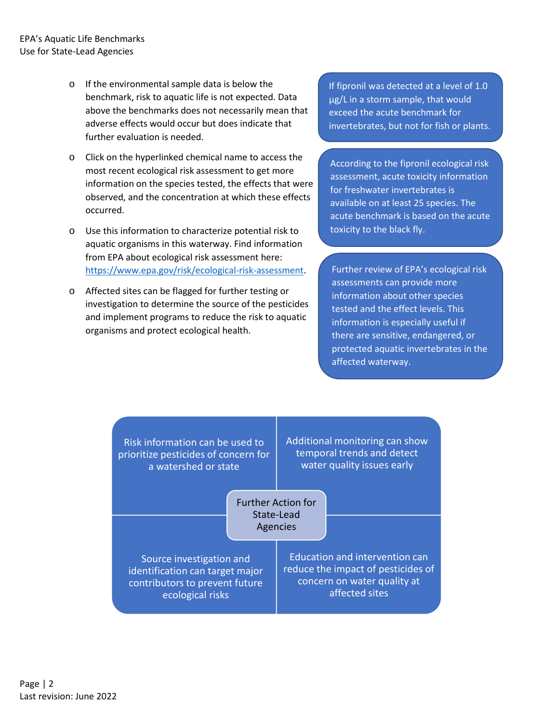- o If the environmental sample data is below the benchmark, risk to aquatic life is not expected. Data above the benchmarks does not necessarily mean that adverse effects would occur but does indicate that further evaluation is needed.
- o Click on the hyperlinked chemical name to access the most recent ecological risk assessment to get more information on the species tested, the effects that were observed, and the concentration at which these effects occurred.
- o Use this information to characterize potential risk to aquatic organisms in this waterway. Find information from EPA about ecological risk assessment here: [https://www.epa.gov/risk/ecological-risk-assessment.](https://www.epa.gov/risk/ecological-risk-assessment)
- o Affected sites can be flagged for further testing or investigation to determine the source of the pesticides and implement programs to reduce the risk to aquatic organisms and protect ecological health.

If fipronil was detected at a level of 1.0 µg/L in a storm sample, that would exceed the acute benchmark for invertebrates, but not for fish or plants.

According to the fipronil ecological risk assessment, acute toxicity information for freshwater invertebrates is available on at least 25 species. The acute benchmark is based on the acute toxicity to the black fly.

Further review of EPA's ecological risk assessments can provide more information about other species tested and the effect levels. This information is especially useful if there are sensitive, endangered, or protected aquatic invertebrates in the affected waterway.

| Risk information can be used to<br>prioritize pesticides of concern for<br>a watershed or state                   |  | Additional monitoring can show<br>temporal trends and detect<br>water quality issues early                                   |  |  |  |  |
|-------------------------------------------------------------------------------------------------------------------|--|------------------------------------------------------------------------------------------------------------------------------|--|--|--|--|
|                                                                                                                   |  | <b>Further Action for</b><br>State-Lead<br>Agencies                                                                          |  |  |  |  |
| Source investigation and<br>identification can target major<br>contributors to prevent future<br>ecological risks |  | <b>Education and intervention can</b><br>reduce the impact of pesticides of<br>concern on water quality at<br>affected sites |  |  |  |  |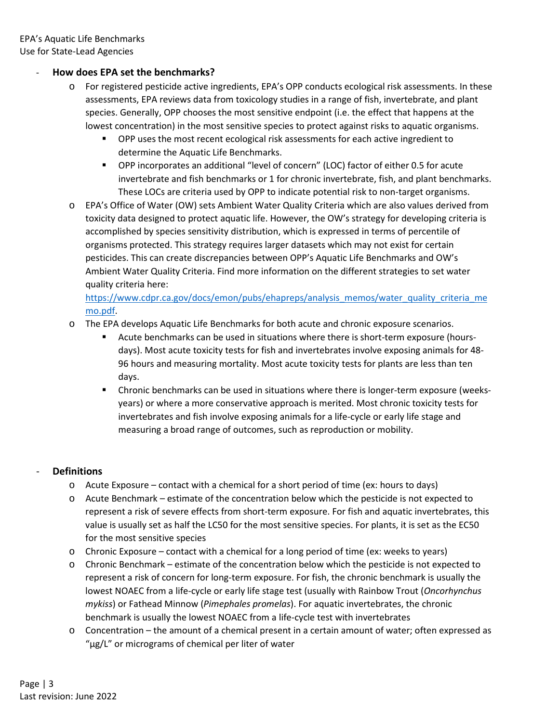## - **How does EPA set the benchmarks?**

- o For registered pesticide active ingredients, EPA's OPP conducts ecological risk assessments. In these assessments, EPA reviews data from toxicology studies in a range of fish, invertebrate, and plant species. Generally, OPP chooses the most sensitive endpoint (i.e. the effect that happens at the lowest concentration) in the most sensitive species to protect against risks to aquatic organisms.
	- OPP uses the most recent ecological risk assessments for each active ingredient to determine the Aquatic Life Benchmarks.
	- OPP incorporates an additional "level of concern" (LOC) factor of either 0.5 for acute invertebrate and fish benchmarks or 1 for chronic invertebrate, fish, and plant benchmarks. These LOCs are criteria used by OPP to indicate potential risk to non-target organisms.
- o EPA's Office of Water (OW) sets Ambient Water Quality Criteria which are also values derived from toxicity data designed to protect aquatic life. However, the OW's strategy for developing criteria is accomplished by species sensitivity distribution, which is expressed in terms of percentile of organisms protected. This strategy requires larger datasets which may not exist for certain pesticides. This can create discrepancies between OPP's Aquatic Life Benchmarks and OW's Ambient Water Quality Criteria. Find more information on the different strategies to set water quality criteria here:

[https://www.cdpr.ca.gov/docs/emon/pubs/ehapreps/analysis\\_memos/water\\_quality\\_criteria\\_me](https://urldefense.com/v3/__https:/www.cdpr.ca.gov/docs/emon/pubs/ehapreps/analysis_memos/water_quality_criteria_memo.pdf__;!!HYmSToo!Oan6t7REQo3YZJq9neDnTudH_zoKSwiWWoa6CP6vAK82QBQMzWYxkvPYUeq9PNXq09Oa$) [mo.pdf.](https://urldefense.com/v3/__https:/www.cdpr.ca.gov/docs/emon/pubs/ehapreps/analysis_memos/water_quality_criteria_memo.pdf__;!!HYmSToo!Oan6t7REQo3YZJq9neDnTudH_zoKSwiWWoa6CP6vAK82QBQMzWYxkvPYUeq9PNXq09Oa$)

- o The EPA develops Aquatic Life Benchmarks for both acute and chronic exposure scenarios.
	- Acute benchmarks can be used in situations where there is short-term exposure (hoursdays). Most acute toxicity tests for fish and invertebrates involve exposing animals for 48- 96 hours and measuring mortality. Most acute toxicity tests for plants are less than ten days.
	- Chronic benchmarks can be used in situations where there is longer-term exposure (weeksyears) or where a more conservative approach is merited. Most chronic toxicity tests for invertebrates and fish involve exposing animals for a life-cycle or early life stage and measuring a broad range of outcomes, such as reproduction or mobility.

## - **Definitions**

- $\circ$  Acute Exposure contact with a chemical for a short period of time (ex: hours to days)
- o Acute Benchmark estimate of the concentration below which the pesticide is not expected to represent a risk of severe effects from short-term exposure. For fish and aquatic invertebrates, this value is usually set as half the LC50 for the most sensitive species. For plants, it is set as the EC50 for the most sensitive species
- o Chronic Exposure contact with a chemical for a long period of time (ex: weeks to years)
- o Chronic Benchmark estimate of the concentration below which the pesticide is not expected to represent a risk of concern for long-term exposure. For fish, the chronic benchmark is usually the lowest NOAEC from a life-cycle or early life stage test (usually with Rainbow Trout (*Oncorhynchus mykiss*) or Fathead Minnow (*Pimephales promelas*). For aquatic invertebrates, the chronic benchmark is usually the lowest NOAEC from a life-cycle test with invertebrates
- o Concentration the amount of a chemical present in a certain amount of water; often expressed as "µg/L" or micrograms of chemical per liter of water